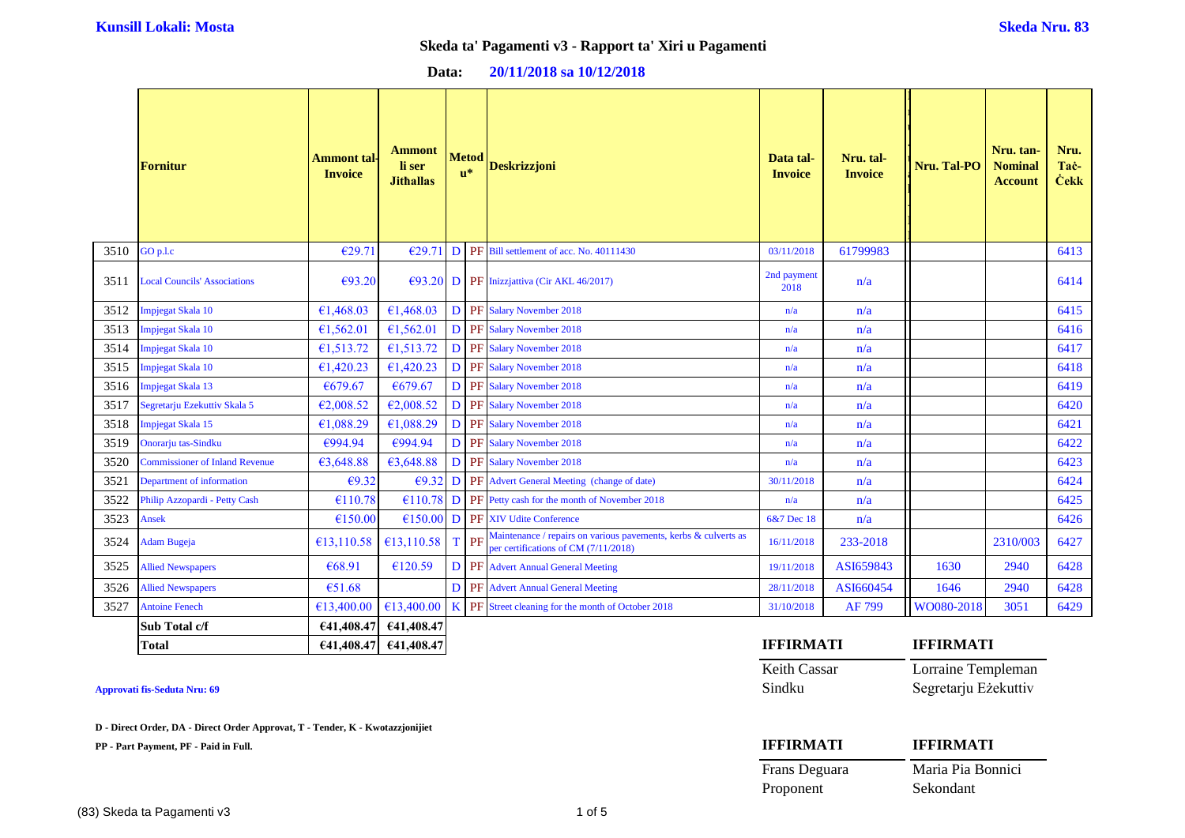| Data: | 20/11/2018 sa 10/12/2018 |  |
|-------|--------------------------|--|
|-------|--------------------------|--|

|      | <b>Fornitur</b>                       | Ammont tal-<br><b>Invoice</b> | <b>Ammont</b><br>li ser<br><b>Jithallas</b> | <b>Metod</b><br>$\mathbf{u}^*$ | <b>Deskrizzjoni</b>                                                                                     | Data tal-<br><b>Invoice</b> | Nru. tal-<br><b>Invoice</b> | <b>Nru. Tal-PO</b> | Nru. tan-<br><b>Nominal</b><br><b>Account</b> | Nru.<br>Tac-<br><b>Cekk</b> |
|------|---------------------------------------|-------------------------------|---------------------------------------------|--------------------------------|---------------------------------------------------------------------------------------------------------|-----------------------------|-----------------------------|--------------------|-----------------------------------------------|-----------------------------|
| 3510 | GO p.l.c                              | €29.71                        | €29.71                                      |                                | D PF Bill settlement of acc. No. 40111430                                                               | 03/11/2018                  | 61799983                    |                    |                                               | 6413                        |
| 3511 | <b>Local Councils' Associations</b>   | €93.20                        |                                             |                                | $E$ (93.20 D PF Inizzjattiva (Cir AKL 46/2017)                                                          | 2nd payment<br>2018         | n/a                         |                    |                                               | 6414                        |
| 3512 | <b>Impjegat Skala 10</b>              | €1,468.03                     | £1,468.03                                   |                                | D PF Salary November 2018                                                                               | n/a                         | n/a                         |                    |                                               | 6415                        |
| 3513 | Impjegat Skala 10                     | €1,562.01                     | €1,562.01                                   |                                | D PF Salary November 2018                                                                               | n/a                         | n/a                         |                    |                                               | 6416                        |
| 3514 | Impjegat Skala 10                     | €1,513.72                     | €1,513.72                                   |                                | D PF Salary November 2018                                                                               | n/a                         | n/a                         |                    |                                               | 6417                        |
| 3515 | Impjegat Skala 10                     | €1,420.23                     | €1,420.23                                   |                                | D PF Salary November 2018                                                                               | n/a                         | n/a                         |                    |                                               | 6418                        |
| 3516 | <b>Impjegat Skala 13</b>              | €679.67                       | €679.67                                     |                                | D PF Salary November 2018                                                                               | n/a                         | n/a                         |                    |                                               | 6419                        |
| 3517 | Segretarju Ezekuttiv Skala 5          | €2,008.52                     | €2,008.52                                   |                                | D PF Salary November 2018                                                                               | n/a                         | n/a                         |                    |                                               | 6420                        |
| 3518 | <b>Impjegat Skala 15</b>              | €1,088.29                     | €1,088.29                                   |                                | D PF Salary November 2018                                                                               | n/a                         | n/a                         |                    |                                               | 6421                        |
| 3519 | Onorarju tas-Sindku                   | €994.94                       | €994.94                                     |                                | D PF Salary November 2018                                                                               | n/a                         | n/a                         |                    |                                               | 6422                        |
| 3520 | <b>Commissioner of Inland Revenue</b> | €3,648.88                     | 63,648.88                                   |                                | D PF Salary November 2018                                                                               | n/a                         | n/a                         |                    |                                               | 6423                        |
| 3521 | Department of information             | €9.32                         | $\epsilon$ 9.32                             |                                | <b>D</b> PF Advert General Meeting (change of date)                                                     | 30/11/2018                  | n/a                         |                    |                                               | 6424                        |
| 3522 | Philip Azzopardi - Petty Cash         | €110.78                       |                                             |                                | $\left[\frac{110.78}{10.78}\right]$ PF Petty cash for the month of November 2018                        | n/a                         | n/a                         |                    |                                               | 6425                        |
| 3523 | Ansek                                 | €150.00                       |                                             |                                | $E150.00$ D PF XIV Udite Conference                                                                     | 6&7 Dec 18                  | n/a                         |                    |                                               | 6426                        |
| 3524 | Adam Bugeja                           | €13,110.58                    | £13,110.58                                  | T PF                           | Maintenance / repairs on various pavements, kerbs & culverts as<br>per certifications of CM (7/11/2018) | 16/11/2018                  | 233-2018                    |                    | 2310/003                                      | 6427                        |
| 3525 | <b>Allied Newspapers</b>              | €68.91                        | €120.59                                     |                                | <b>D</b> PF Advert Annual General Meeting                                                               | 19/11/2018                  | ASI659843                   | 1630               | 2940                                          | 6428                        |
| 3526 | <b>Allied Newspapers</b>              | €51.68                        |                                             |                                | <b>D</b> PF Advert Annual General Meeting                                                               | 28/11/2018                  | ASI660454                   | 1646               | 2940                                          | 6428                        |
| 3527 | <b>Antoine Fenech</b>                 | €13,400.00                    | €13,400.00                                  |                                | K PF Street cleaning for the month of October 2018                                                      | 31/10/2018                  | AF 799                      | WO080-2018         | 3051                                          | 6429                        |
|      | Sub Total c/f                         | €41,408.47                    | €41,408.47                                  |                                |                                                                                                         |                             |                             |                    |                                               |                             |
|      | <b>Total</b>                          |                               | €41,408.47 €41,408.47                       |                                |                                                                                                         | <b>IFFIRMATI</b>            |                             | <b>IFFIRMATI</b>   |                                               |                             |

**Approvati fis-Seduta Nru: 69** 

**D - Direct Order, DA - Direct Order Approvat, T - Tender, K - Kwotazzjonijiet**

| <b>IFFIRMATI</b> | <b>IFFIRMATI</b>     |
|------------------|----------------------|
| Keith Cassar     | Lorraine Templeman   |
| Sindku           | Segretarju Eżekuttiv |

| <b>IFFIRMATI</b> | <b>IFFIRMATI</b>  |
|------------------|-------------------|
| Frans Deguara    | Maria Pia Bonnici |
| Proponent        | Sekondant         |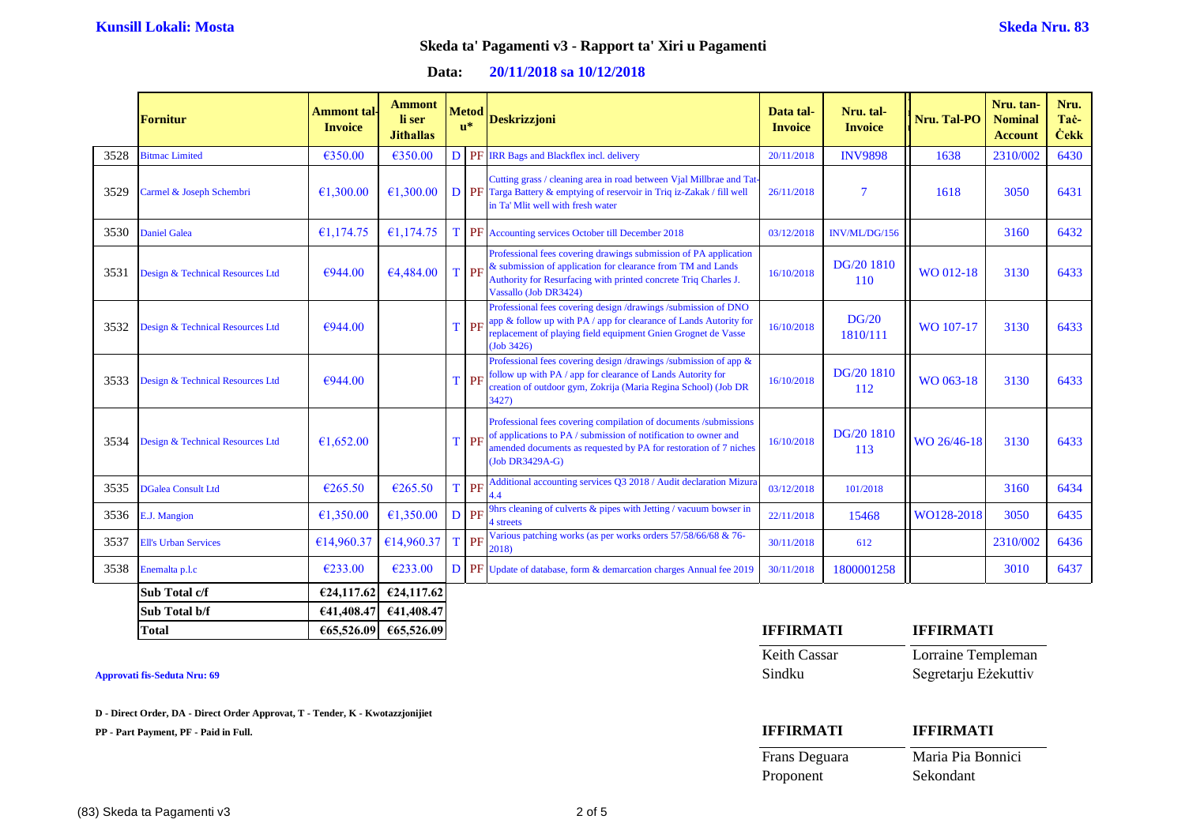| 20/11/2018 sa 10/12/2018<br>Data: |  |
|-----------------------------------|--|
|-----------------------------------|--|

|      | <b>Fornitur</b>                  | <b>Ammont</b> tal<br><b>Invoice</b> | <b>Ammont</b><br>li ser<br><b>Jithallas</b> | <b>Metod</b><br>$\mathbf{u}^*$ | <b>Deskrizzjoni</b>                                                                                                                                                                                                         | Data tal-<br><b>Invoice</b> | Nru. tal-<br><b>Invoice</b> | Nru. Tal-PO | Nru. tan-<br><b>Nominal</b><br><b>Account</b> | Nru.<br>Tac-<br><b>Cekk</b> |
|------|----------------------------------|-------------------------------------|---------------------------------------------|--------------------------------|-----------------------------------------------------------------------------------------------------------------------------------------------------------------------------------------------------------------------------|-----------------------------|-----------------------------|-------------|-----------------------------------------------|-----------------------------|
| 3528 | <b>Bitmac Limited</b>            | €350.00                             | €350.00                                     |                                | D PF IRR Bags and Blackflex incl. delivery                                                                                                                                                                                  | 20/11/2018                  | <b>INV9898</b>              | 1638        | 2310/002                                      | 6430                        |
| 3529 | Carmel & Joseph Schembri         | €1,300.00                           | €1,300,00                                   |                                | Cutting grass / cleaning area in road between Vjal Millbrae and Tat<br><b>D PF</b> Targa Battery & emptying of reservoir in Triq iz-Zakak / fill well<br>in Ta' Mlit well with fresh water                                  | 26/11/2018                  | $\overline{7}$              | 1618        | 3050                                          | 6431                        |
| 3530 | <b>Daniel Galea</b>              | €1,174.75                           | €1,174.75                                   |                                | T PF Accounting services October till December 2018                                                                                                                                                                         | 03/12/2018                  | INV/ML/DG/156               |             | 3160                                          | 6432                        |
| 3531 | Design & Technical Resources Ltd | €944.00                             | €4,484.00                                   | T PF                           | Professional fees covering drawings submission of PA application<br>& submission of application for clearance from TM and Lands<br>Authority for Resurfacing with printed concrete Triq Charles J.<br>Vassallo (Job DR3424) | 16/10/2018                  | DG/20 1810<br><b>110</b>    | WO 012-18   | 3130                                          | 6433                        |
| 3532 | Design & Technical Resources Ltd | €944.00                             |                                             | TPF                            | Professional fees covering design /drawings /submission of DNO<br>app & follow up with PA / app for clearance of Lands Autority for<br>replacement of playing field equipment Gnien Grognet de Vasse<br>(Job 3426)          | 16/10/2018                  | DG/20<br>1810/111           | WO 107-17   | 3130                                          | 6433                        |
| 3533 | Design & Technical Resources Ltd | €944.00                             |                                             | T PF                           | Professional fees covering design /drawings /submission of app &<br>follow up with PA / app for clearance of Lands Autority for<br>creation of outdoor gym, Zokrija (Maria Regina School) (Job DR<br>3427)                  | 16/10/2018                  | DG/20 1810<br>112           | WO 063-18   | 3130                                          | 6433                        |
| 3534 | Design & Technical Resources Ltd | €1.652.00                           |                                             | T PF                           | Professional fees covering compilation of documents /submissions<br>of applications to PA / submission of notification to owner and<br>amended documents as requested by PA for restoration of 7 niches<br>(Job DR3429A-G)  | 16/10/2018                  | DG/20 1810<br>113           | WO 26/46-18 | 3130                                          | 6433                        |
| 3535 | <b>DGalea Consult Ltd</b>        | €265.50                             | €265.50                                     | T PF                           | Additional accounting services Q3 2018 / Audit declaration Mizura                                                                                                                                                           | 03/12/2018                  | 101/2018                    |             | 3160                                          | 6434                        |
| 3536 | E.J. Mangion                     | €1,350.00                           | €1,350.00                                   | D PF                           | 9hrs cleaning of culverts & pipes with Jetting / vacuum bowser in<br>4 streets                                                                                                                                              | 22/11/2018                  | 15468                       | WO128-2018  | 3050                                          | 6435                        |
| 3537 | <b>Ell's Urban Services</b>      | €14,960.37                          | €14,960.37                                  | T PF                           | Various patching works (as per works orders 57/58/66/68 & 76-<br>2018)                                                                                                                                                      | 30/11/2018                  | 612                         |             | 2310/002                                      | 6436                        |
| 3538 | Enemalta p.l.c                   | €233.00                             | €233.00                                     |                                | <b>D PF</b> Update of database, form & demarcation charges Annual fee 2019                                                                                                                                                  | 30/11/2018                  | 1800001258                  |             | 3010                                          | 6437                        |
|      | Sub Total c/f                    | €24,117.62                          | €24,117.62                                  |                                |                                                                                                                                                                                                                             |                             |                             |             |                                               |                             |
|      | Sub Total b/f                    |                                     | €41,408.47 €41,408.47                       |                                |                                                                                                                                                                                                                             |                             |                             |             |                                               |                             |

#### **Approvati fis-Seduta Nru: 69**

**D - Direct Order, DA - Direct Order Approvat, T - Tender, K - Kwotazzjonijiet**

 $\begin{array}{|l|l|l|}\n\hline\n\text{Total} & \text{E65,526.09} & \text{E65,526.09}\n\end{array}$ 

| <b>IFFIRMATI</b> | <b>IFFIRMATI</b>     |
|------------------|----------------------|
| Keith Cassar     | Lorraine Templeman   |
| Sindku           | Segretarju Eżekuttiv |

| <b>IFFIRMATI</b> | <b>IFFIRMATI</b>  |
|------------------|-------------------|
| Frans Deguara    | Maria Pia Bonnici |
| Proponent        | Sekondant         |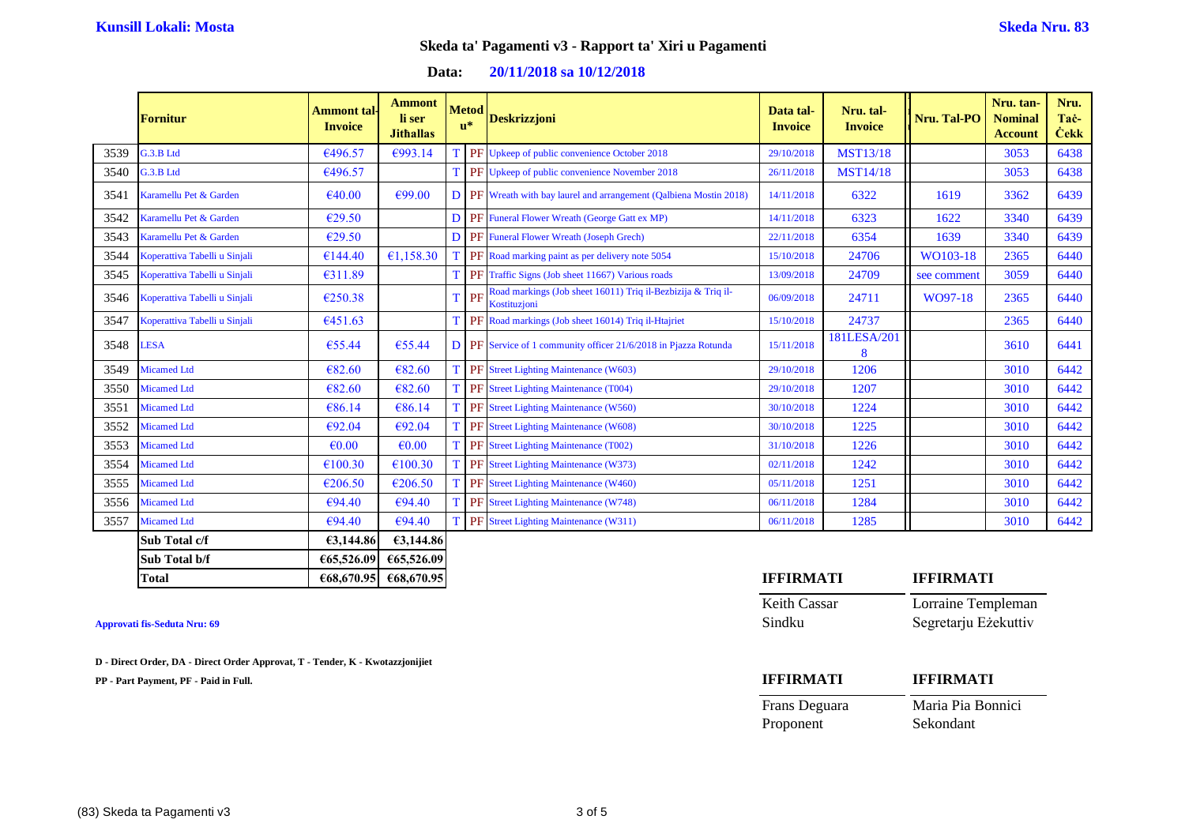| 20/11/2018 sa 10/12/2018 |
|--------------------------|
|                          |

|      | <b>Fornitur</b>               | Ammont tal-<br><b>Invoice</b> | <b>Ammont</b><br>li ser<br><b>Jithallas</b> | <b>Metod</b><br>$\mathbf{u}^*$ | <b>Deskrizzjoni</b>                                                          | Data tal-<br><b>Invoice</b> | Nru. tal-<br><b>Invoice</b> | Nru. Tal-PO | Nru. tan-<br><b>Nominal</b><br><b>Account</b> | Nru.<br>Tac-<br><b>Ċekk</b> |
|------|-------------------------------|-------------------------------|---------------------------------------------|--------------------------------|------------------------------------------------------------------------------|-----------------------------|-----------------------------|-------------|-----------------------------------------------|-----------------------------|
| 3539 | G.3.B Ltd                     | €496.57                       | €993.14                                     |                                | T PF Upkeep of public convenience October 2018                               | 29/10/2018                  | <b>MST13/18</b>             |             | 3053                                          | 6438                        |
| 3540 | G.3.B Ltd                     | €496.57                       |                                             | T                              | PF Upkeep of public convenience November 2018                                | 26/11/2018                  | <b>MST14/18</b>             |             | 3053                                          | 6438                        |
| 3541 | Karamellu Pet & Garden        | €40.00                        | €99.00                                      |                                | <b>D PF</b> Wreath with bay laurel and arrangement (Qalbiena Mostin 2018)    | 14/11/2018                  | 6322                        | 1619        | 3362                                          | 6439                        |
| 3542 | Karamellu Pet & Garden        | €29.50                        |                                             |                                | <b>D</b> PF Funeral Flower Wreath (George Gatt ex MP)                        | 14/11/2018                  | 6323                        | 1622        | 3340                                          | 6439                        |
| 3543 | Karamellu Pet & Garden        | €29.50                        |                                             |                                | D PF Funeral Flower Wreath (Joseph Grech)                                    | 22/11/2018                  | 6354                        | 1639        | 3340                                          | 6439                        |
| 3544 | Koperattiva Tabelli u Sinjali | €144.40                       | €1.158.30                                   |                                | PF Road marking paint as per delivery note 5054                              | 15/10/2018                  | 24706                       | WO103-18    | 2365                                          | 6440                        |
| 3545 | Koperattiva Tabelli u Sinjali | €311.89                       |                                             |                                | T PF Traffic Signs (Job sheet 11667) Various roads                           | 13/09/2018                  | 24709                       | see comment | 3059                                          | 6440                        |
| 3546 | Koperattiva Tabelli u Sinjali | €250.38                       |                                             | <b>T</b> PF                    | Road markings (Job sheet 16011) Triq il-Bezbizija & Triq il-<br>Kostituzjoni | 06/09/2018                  | 24711                       | WO97-18     | 2365                                          | 6440                        |
| 3547 | Koperattiva Tabelli u Sinjali | €451.63                       |                                             |                                | PF Road markings (Job sheet 16014) Triq il-Htajriet                          | 15/10/2018                  | 24737                       |             | 2365                                          | 6440                        |
| 3548 | <b>LESA</b>                   | €55.44                        | €55.44                                      |                                | <b>D</b> PF Service of 1 community officer 21/6/2018 in Pjazza Rotunda       | 15/11/2018                  | 181LESA/201<br>8            |             | 3610                                          | 6441                        |
| 3549 | <b>Micamed Ltd</b>            | €82.60                        | €82.60                                      |                                | T PF Street Lighting Maintenance (W603)                                      | 29/10/2018                  | 1206                        |             | 3010                                          | 6442                        |
| 3550 | <b>Micamed Ltd</b>            | €82.60                        | €82.60                                      |                                | T PF Street Lighting Maintenance (T004)                                      | 29/10/2018                  | 1207                        |             | 3010                                          | 6442                        |
| 3551 | <b>Micamed Ltd</b>            | €86.14                        | €86.14                                      |                                | T PF Street Lighting Maintenance (W560)                                      | 30/10/2018                  | 1224                        |             | 3010                                          | 6442                        |
| 3552 | <b>Micamed Ltd</b>            | €92.04                        | €92.04                                      |                                | T PF Street Lighting Maintenance (W608)                                      | 30/10/2018                  | 1225                        |             | 3010                                          | 6442                        |
| 3553 | <b>Micamed Ltd</b>            | $\epsilon$ <sub>0.00</sub>    | $\epsilon$ <sub>0.00</sub>                  |                                | PF Street Lighting Maintenance (T002)                                        | 31/10/2018                  | 1226                        |             | 3010                                          | 6442                        |
| 3554 | <b>Micamed Ltd</b>            | €100.30                       | €100.30                                     |                                | T PF Street Lighting Maintenance (W373)                                      | 02/11/2018                  | 1242                        |             | 3010                                          | 6442                        |
| 3555 | <b>Micamed Ltd</b>            | €206.50                       | €206.50                                     |                                | T PF Street Lighting Maintenance (W460)                                      | 05/11/2018                  | 1251                        |             | 3010                                          | 6442                        |
| 3556 | <b>Micamed Ltd</b>            | €94.40                        | €94.40                                      |                                | <b>PF</b> Street Lighting Maintenance (W748)                                 | 06/11/2018                  | 1284                        |             | 3010                                          | 6442                        |
| 3557 | <b>Micamed Ltd</b>            | €94.40                        | €94.40                                      |                                | PF Street Lighting Maintenance (W311)                                        | 06/11/2018                  | 1285                        |             | 3010                                          | 6442                        |
|      | Sub Total c/f                 | 63,144.86                     | €3,144.86                                   |                                |                                                                              |                             |                             |             |                                               |                             |

| Total         | €68,670.95 | €68,670.95 |
|---------------|------------|------------|
| Sub Total b/f | 65,526.09  | €65,526.09 |
| Sub Total c/f | £3.144.86  | E3.144.86  |

**Approvati fis-Seduta Nru: 69** 

**D - Direct Order, DA - Direct Order Approvat, T - Tender, K - Kwotazzjonijiet**

| <b>IFFIRMATI</b>    | <b>IFFIRMATI</b>     |
|---------------------|----------------------|
| <b>Keith Cassar</b> | Lorraine Templeman   |
| Sindku              | Segretarju Eżekuttiv |

| <b>IFFIRMATI</b> | <b>IFFIRMATI</b>  |
|------------------|-------------------|
| Frans Deguara    | Maria Pia Bonnici |
| Proponent        | Sekondant         |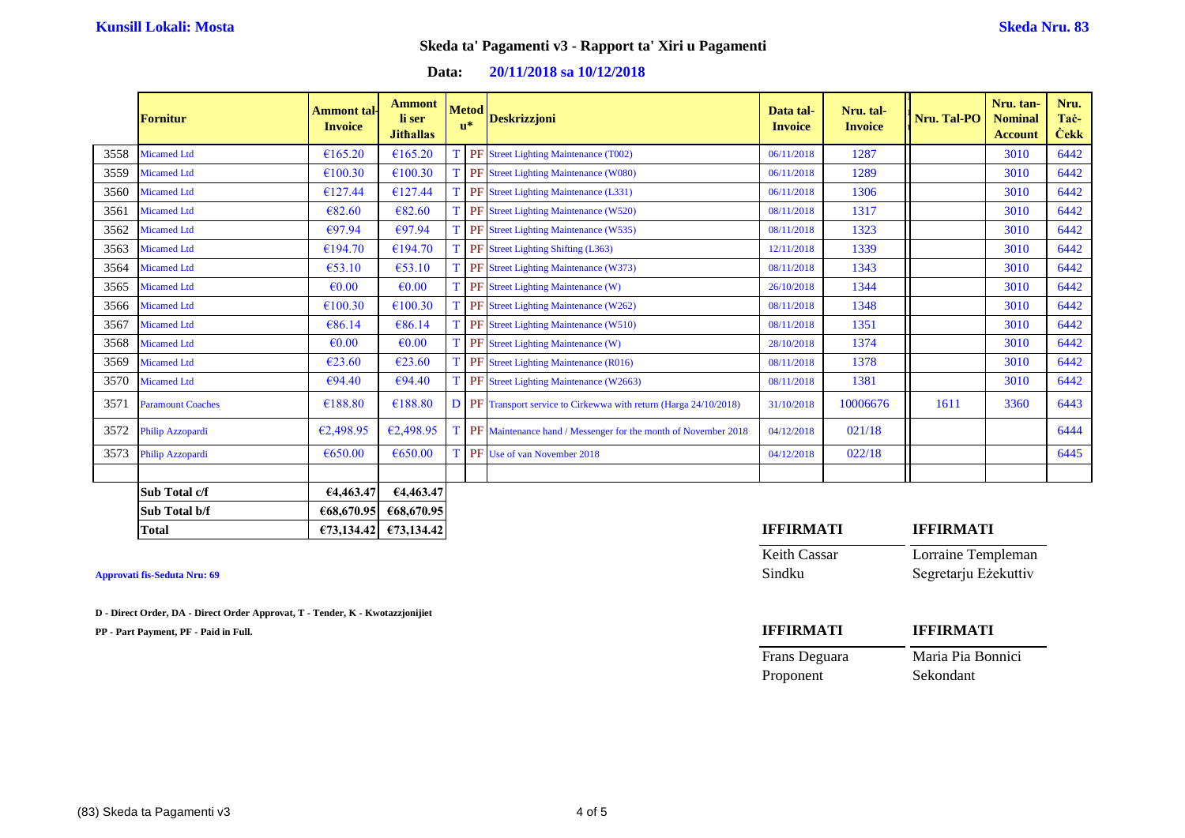# **Data: 20/11/2018 sa 10/12/2018**

|      | <b>Fornitur</b>          | Ammont tal <sub>'</sub><br><b>Invoice</b> | <b>Ammont</b><br>li ser<br><b>Jithallas</b> | <b>Metod</b><br>$\mathbf{u}^*$ | <b>Deskrizzjoni</b>                                               | Data tal-<br><b>Invoice</b> | Nru. tal-<br><b>Invoice</b> | Nru. Tal-PO | Nru. tan-<br><b>Nominal</b><br><b>Account</b> | Nru.<br>Tac-<br><b>Cekk</b> |
|------|--------------------------|-------------------------------------------|---------------------------------------------|--------------------------------|-------------------------------------------------------------------|-----------------------------|-----------------------------|-------------|-----------------------------------------------|-----------------------------|
| 3558 | <b>Micamed Ltd</b>       | €165.20                                   | €165.20                                     |                                | PF Street Lighting Maintenance (T002)                             | 06/11/2018                  | 1287                        |             | 3010                                          | 6442                        |
| 3559 | <b>Micamed Ltd</b>       | €100.30                                   | €100.30                                     |                                | T PF Street Lighting Maintenance (W080)                           | 06/11/2018                  | 1289                        |             | 3010                                          | 6442                        |
| 3560 | <b>Micamed Ltd</b>       | €127.44                                   | €127.44                                     |                                | PF Street Lighting Maintenance (L331)                             | 06/11/2018                  | 1306                        |             | 3010                                          | 6442                        |
| 3561 | <b>Micamed Ltd</b>       | €82.60                                    | €82.60                                      |                                | T PF Street Lighting Maintenance (W520)                           | 08/11/2018                  | 1317                        |             | 3010                                          | 6442                        |
| 3562 | <b>Micamed Ltd</b>       | €97.94                                    | €97.94                                      |                                | T PF Street Lighting Maintenance (W535)                           | 08/11/2018                  | 1323                        |             | 3010                                          | 6442                        |
| 3563 | <b>Micamed Ltd</b>       | €194.70                                   | €194.70                                     |                                | T PF Street Lighting Shifting (L363)                              | 12/11/2018                  | 1339                        |             | 3010                                          | 6442                        |
| 3564 | <b>Micamed Ltd</b>       | €53.10                                    | €53.10                                      |                                | <b>PF</b> Street Lighting Maintenance (W373)                      | 08/11/2018                  | 1343                        |             | 3010                                          | 6442                        |
| 3565 | <b>Micamed Ltd</b>       | $\epsilon$ <sub>0.00</sub>                | $\epsilon$ <sub>0.00</sub>                  |                                | T PF Street Lighting Maintenance (W)                              | 26/10/2018                  | 1344                        |             | 3010                                          | 6442                        |
| 3566 | <b>Micamed Ltd</b>       | €100.30                                   | €100.30                                     |                                | T PF Street Lighting Maintenance (W262)                           | 08/11/2018                  | 1348                        |             | 3010                                          | 6442                        |
| 3567 | <b>Micamed Ltd</b>       | €86.14                                    | €86.14                                      |                                | <b>PF</b> Street Lighting Maintenance (W510)                      | 08/11/2018                  | 1351                        |             | 3010                                          | 6442                        |
| 3568 | <b>Micamed Ltd</b>       | €0.00                                     | $\epsilon$ <sub>0.00</sub>                  |                                | T PF Street Lighting Maintenance (W)                              | 28/10/2018                  | 1374                        |             | 3010                                          | 6442                        |
| 3569 | <b>Micamed Ltd</b>       | €23.60                                    | €23.60                                      |                                | T PF Street Lighting Maintenance (R016)                           | 08/11/2018                  | 1378                        |             | 3010                                          | 6442                        |
| 3570 | <b>Micamed Ltd</b>       | €94.40                                    | €94.40                                      |                                | PF Street Lighting Maintenance (W2663)                            | 08/11/2018                  | 1381                        |             | 3010                                          | 6442                        |
| 3571 | <b>Paramount Coaches</b> | €188.80                                   | €188.80                                     |                                | D PF Transport service to Cirkewwa with return (Harga 24/10/2018) | 31/10/2018                  | 10006676                    | 1611        | 3360                                          | 6443                        |
| 3572 | Philip Azzopardi         | €2,498.95                                 | €2,498.95                                   |                                | PF Maintenance hand / Messenger for the month of November 2018    | 04/12/2018                  | 021/18                      |             |                                               | 6444                        |
| 3573 | Philip Azzopardi         | €650.00                                   | €650.00                                     |                                | T PF Use of van November 2018                                     | 04/12/2018                  | 022/18                      |             |                                               | 6445                        |
|      | Sub Total c/f            | €4,463.47                                 | €4,463.47                                   |                                |                                                                   |                             |                             |             |                                               |                             |
|      | Sub Total b/f            | €68,670.95                                | €68,670.95                                  |                                |                                                                   |                             |                             |             |                                               |                             |

|  | Approvati fis-Seduta Nru: 69 |  |
|--|------------------------------|--|
|  |                              |  |

**D - Direct Order, DA - Direct Order Approvat, T - Tender, K - Kwotazzjonijiet**

| <b>Total</b>                 | $\epsilon$ 73.134.42 $\epsilon$ 73.134.42 | IFFIRMATI    | FFIRMATI             |
|------------------------------|-------------------------------------------|--------------|----------------------|
|                              |                                           | Keith Cassar | Lorraine Templeman   |
| Approvati fis-Seduta Nru: 69 |                                           | Sindku       | Segretarju Eżekuttiv |

| <b>IFFIRMATI</b> | <b>IFFIRMATI</b>  |
|------------------|-------------------|
| Frans Deguara    | Maria Pia Bonnici |
| Proponent        | Sekondant         |